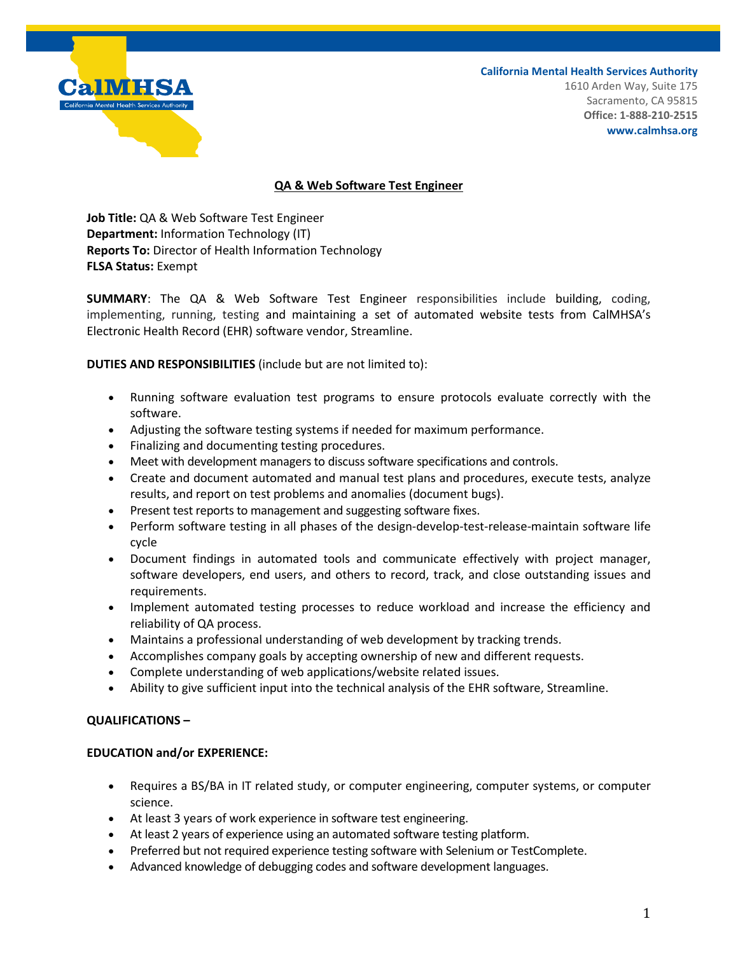

**California Mental Health Services Authority** 1610 Arden Way, Suite 175 Sacramento, CA 95815 **Office: 1-888-210-2515 www.calmhsa.org**

## **QA & Web Software Test Engineer**

**Job Title:** QA & Web Software Test Engineer **Department:** Information Technology (IT) **Reports To:** Director of Health Information Technology **FLSA Status:** Exempt

**SUMMARY**: The QA & Web Software Test Engineer responsibilities include building, coding, implementing, running, testing and maintaining a set of automated website tests from CalMHSA's Electronic Health Record (EHR) software vendor, Streamline.

**DUTIES AND RESPONSIBILITIES** (include but are not limited to):

- Running software evaluation test programs to ensure protocols evaluate correctly with the software.
- Adjusting the software testing systems if needed for maximum performance.
- Finalizing and documenting testing procedures.
- Meet with development managers to discuss software specifications and controls.
- Create and document automated and manual test plans and procedures, execute tests, analyze results, and report on test problems and anomalies (document bugs).
- Present test reports to management and suggesting software fixes.
- Perform software testing in all phases of the design-develop-test-release-maintain software life cycle
- Document findings in automated tools and communicate effectively with project manager, software developers, end users, and others to record, track, and close outstanding issues and requirements.
- Implement automated testing processes to reduce workload and increase the efficiency and reliability of QA process.
- Maintains a professional understanding of web development by tracking trends.
- Accomplishes company goals by accepting ownership of new and different requests.
- Complete understanding of web applications/website related issues.
- Ability to give sufficient input into the technical analysis of the EHR software, Streamline.

## **QUALIFICATIONS –**

## **EDUCATION and/or EXPERIENCE:**

- Requires a BS/BA in IT related study, or computer engineering, computer systems, or computer science.
- At least 3 years of work experience in software test engineering.
- At least 2 years of experience using an automated software testing platform.
- Preferred but not required experience testing software with Selenium or TestComplete.
- Advanced knowledge of debugging codes and software development languages.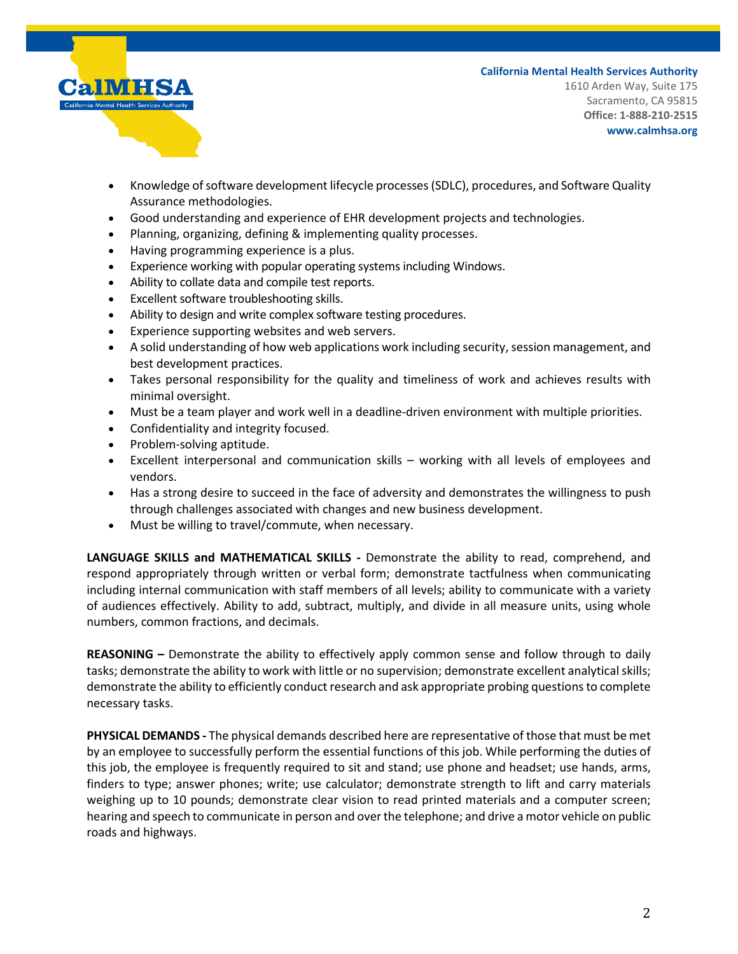

**California Mental Health Services Authority** 1610 Arden Way, Suite 175 Sacramento, CA 95815 **Office: 1-888-210-2515 www.calmhsa.org**

- Knowledge of software development lifecycle processes (SDLC), procedures, and Software Quality Assurance methodologies.
- Good understanding and experience of EHR development projects and technologies.
- Planning, organizing, defining & implementing quality processes.
- Having programming experience is a plus.
- Experience working with popular operating systems including Windows.
- Ability to collate data and compile test reports.
- Excellent software troubleshooting skills.
- Ability to design and write complex software testing procedures.
- Experience supporting websites and web servers.
- A solid understanding of how web applications work including security, session management, and best development practices.
- Takes personal responsibility for the quality and timeliness of work and achieves results with minimal oversight.
- Must be a team player and work well in a deadline-driven environment with multiple priorities.
- Confidentiality and integrity focused.
- Problem-solving aptitude.
- Excellent interpersonal and communication skills working with all levels of employees and vendors.
- Has a strong desire to succeed in the face of adversity and demonstrates the willingness to push through challenges associated with changes and new business development.
- Must be willing to travel/commute, when necessary.

**LANGUAGE SKILLS and MATHEMATICAL SKILLS -** Demonstrate the ability to read, comprehend, and respond appropriately through written or verbal form; demonstrate tactfulness when communicating including internal communication with staff members of all levels; ability to communicate with a variety of audiences effectively. Ability to add, subtract, multiply, and divide in all measure units, using whole numbers, common fractions, and decimals.

**REASONING –** Demonstrate the ability to effectively apply common sense and follow through to daily tasks; demonstrate the ability to work with little or no supervision; demonstrate excellent analytical skills; demonstrate the ability to efficiently conduct research and ask appropriate probing questions to complete necessary tasks.

**PHYSICAL DEMANDS -** The physical demands described here are representative of those that must be met by an employee to successfully perform the essential functions of this job. While performing the duties of this job, the employee is frequently required to sit and stand; use phone and headset; use hands, arms, finders to type; answer phones; write; use calculator; demonstrate strength to lift and carry materials weighing up to 10 pounds; demonstrate clear vision to read printed materials and a computer screen; hearing and speech to communicate in person and over the telephone; and drive a motor vehicle on public roads and highways.